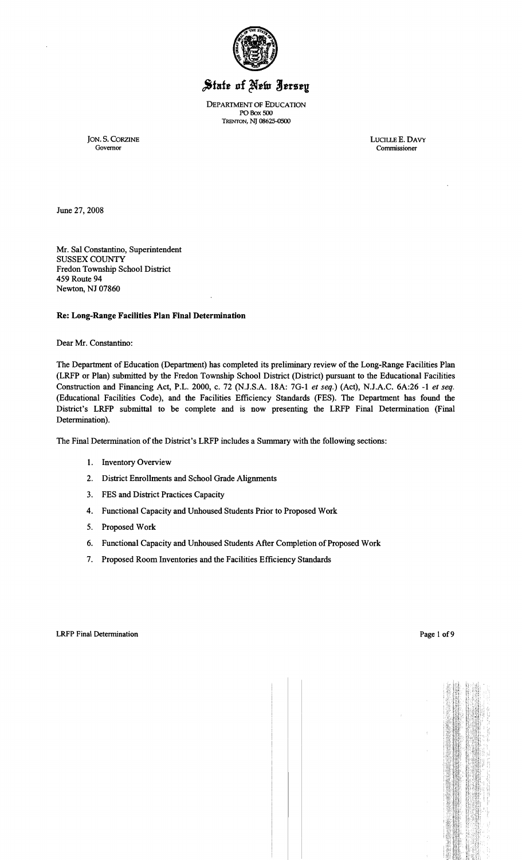

# State of New Jersey

DEPARTMENT OF EDUCATION PO Box 500 TRENTON, NJ 08625-0500

JON. S. CORZINE LUCILLE E. DAVY LUCILLE E. DAVY COVETOR Commissioner

June 27, 2008

Mr. Sal Constantino, Superintendent SUSSEX COUNTY Fredon Township School District 459 Route 94 Newton, NJ 07860

## Re: Long-Range Facilities Plan Final Determination

Dear Mr. Constantino:

The Department of Education (Department) has completed its preliminary review of the Long-Range Facilities Plan (LRFP or Plan) submitted by the Fredon Township School District (District) pursuant to the Educational Facilities Construction and Financing Act, P.L. 2000, c. 72 (NJ.S.A. 18A: 7G-l *et seq.)* (Act), N.J.A.C. 6A:26 -1 *et seq.*  (Educational Facilities Code), and the Facilities Efficiency Standards (FES). The Department has found the District's LRFP submittal to be complete and is now presenting the LRFP Final Determination (Final Determination).

The Final Determination of the District's LRFP includes a Summary with the following sections:

- 1. Inventory Overview
- 2. District Enrollments and School Grade Alignments
- 3. FES and District Practices Capacity
- 4. Functional Capacity and Unhoused Students Prior to Proposed Work
- 5. Proposed Work
- 6. Functional Capacity and Unhoused Students After Completion of Proposed Work
- 7. Proposed Room Inventories and the Facilities Efficiency Standards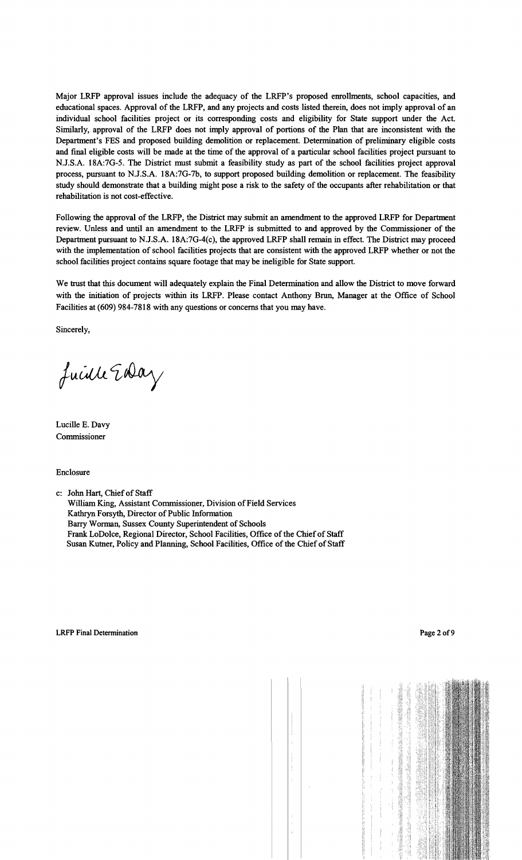Major LRFP approval issues include the adequacy of the LRFP's proposed emollments, school capacities, and educational spaces. Approval of the LRFP, and any projects and costs listed therein, does not imply approval of an individual school facilities project or its corresponding costs and eligibility for State support under the Act. Similarly, approval of the LRFP does not imply approval of portions of the Plan that are inconsistent with the Department's FES and proposed building demolition or replacement. Determination of preliminary eligible costs and final eligible costs will be made at the time of the approval of a particular school facilities project pursuant to N.J.S.A. 18A:7G-5. The District must submit a feasibility study as part of the school facilities project approval process, pursuant to N.J.S.A. 18A:7G-7b, to support proposed building demolition or replacement. The feasibility study should demonstrate that a building might pose a risk to the safety of the occupants after rehabilitation or that rehabilitation is not cost-effective.

Following the approval of the LRFP, the District may submit an amendment to the approved LRFP for Department review. Unless and until an amendment to the LRFP is submitted to and approved by the Commissioner of the Department pursuant to N.J.S.A. 18A:7G-4(c), the approved LRFP shall remain in effect. The District may proceed with the implementation of school facilities projects that are consistent with the approved LRFP whether or not the school facilities project contains square footage that may be ineligible for State support.

We trust that this document will adequately explain the Final Determination and allow the District to move forward with the initiation of projects within its LRFP. Please contact Anthony Brun, Manager at the Office of School Facilities at (609) 984-7818 with any questions or concerns that you may have.

Sincerely,

fuille Eday

Lucille E. Davy Commissioner

Enclosure

c: John Hart, Chiefof Staff

William King, Assistant Commissioner, Division of Field Services Kathryn Forsyth, Director of Public Information Barry Worman, Sussex County Superintendent of Schools Frank LoDo1ce, Regional Director, School Facilities, Office ofthe Chiefof Staff Susan Kutner, Policy and Planning, School Facilities, Office of the Chief of Staff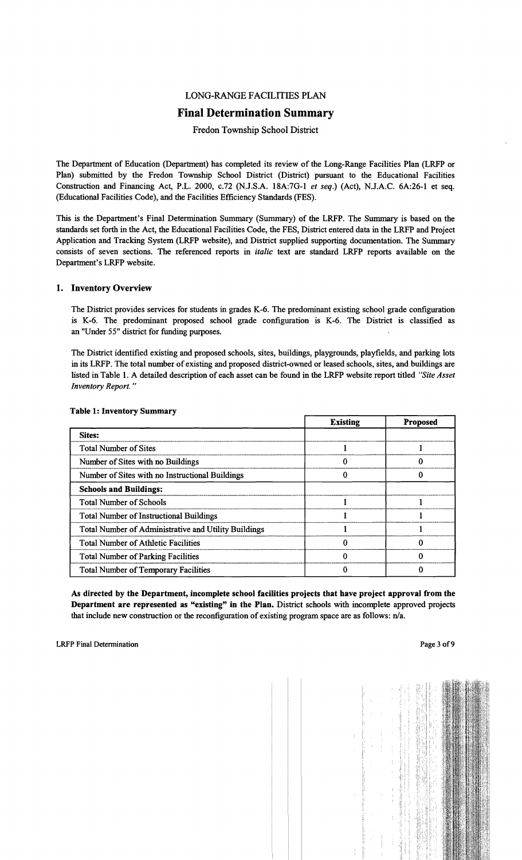#### LONG-RANGE FACILITIES PLAN

## Final Determination Summary

## Fredon Township School District

The Department of Education (Department) has completed its review of the Long-Range Facilities Plan (LRFP or Plan) submitted by the Fredon Township School District (District) pursuant to the Educational Facilities Construction and Financing Act, P.L. 2000, c.72 (N.J.S.A. 18A:7G-I *et seq.)* (Act), N.J.A.C. 6A:26-1 et seq. (Educational Facilities Code), and the Facilities Efficiency Standards (FES).

This is the Department's Final Determination Summary (Summary) of the LRFP. The Summary is based on the standards set forth in the Act, the Educational Facilities Code, the FES, District entered data in the LRFP and Project Application and Tracking System (LRFP website), and District supplied supporting documentation. The Summary consists of seven sections. The referenced reports in *italic* text are standard LRFP reports available on the Department's LRFP website.

#### 1. Inventory Overview

The District provides services for students in grades K-6. The predominant existing school grade configuration is K-6. The predominant proposed school grade configuration is K-6. The District is classified as an "Under 55" district for funding purposes.

The District identified existing and proposed schools, sites, buildings, playgrounds, playfields, and parking lots in its LRFP. The total number of existing and proposed district-owned or leased schools, sites, and buildings are listed in Table I. A detailed description of each asset can be found in the LRFP website report titled *"Site Asset Inventory Report. "* 

|                                                      | <b>Existing</b> | <b>Proposed</b> |
|------------------------------------------------------|-----------------|-----------------|
| <b>Sites:</b>                                        |                 |                 |
| <b>Total Number of Sites</b>                         |                 |                 |
| Number of Sites with no Buildings                    |                 |                 |
| Number of Sites with no Instructional Buildings      |                 |                 |
| <b>Schools and Buildings:</b>                        |                 |                 |
| <b>Total Number of Schools</b>                       |                 |                 |
| <b>Total Number of Instructional Buildings</b>       |                 |                 |
| Total Number of Administrative and Utility Buildings |                 |                 |
| <b>Total Number of Athletic Facilities</b>           |                 |                 |
| <b>Total Number of Parking Facilities</b>            |                 |                 |
| <b>Total Number of Temporary Facilities</b>          |                 |                 |

#### Table 1: Inventory Summary

As directed by the Department, incomplete school facilities projects that have project approval from the Department are represented as "existing" in the Plan. District schools with incomplete approved projects that include new construction or the reconfiguration of existing program space are as follows: n/a.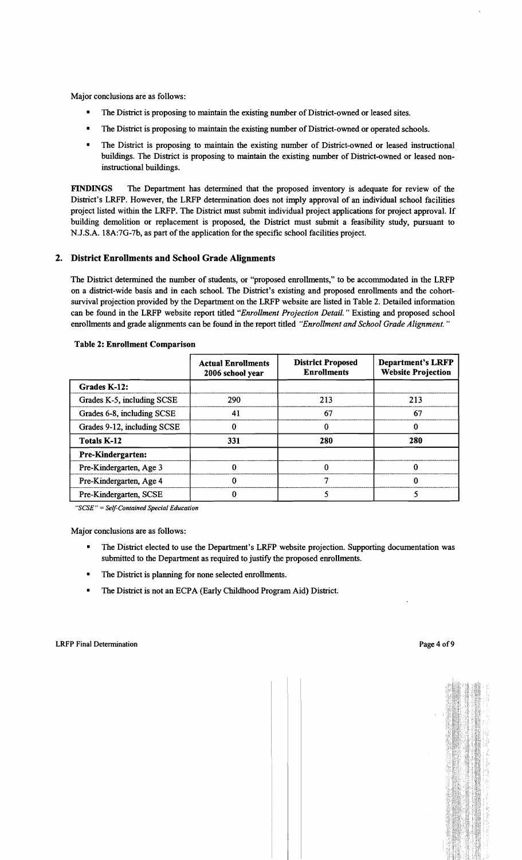- The District is proposing to maintain the existing number of District-owned or leased sites.
- The District is proposing to maintain the existing number of District-owned or operated schools.
- The District is proposing to maintain the existing number of District-owned or leased instructional. buildings. The District is proposing to maintain the existing number of District-owned or leased noninstructional buildings.

FINDINGS The Department has determined that the proposed inventory is adequate for review of the District's LRFP. However, the LRFP determination does not imply approval of an individual school facilities project listed within the LRFP. The District must submit individual project applications for project approval. If building demolition or replacement is proposed, the District must submit a feasibility study, pursuant to N.J.S.A. 18A:7G-7b, as part of the application for the specific school facilities project.

## 2. District Enrollments and School Grade Alignments

The District determined the number of students, or "proposed enrollments," to be accommodated in the LRFP on a district-wide basis and in each school. The District's existing and proposed enrollments and the cohortsurvival projection provided by the Department on the LRFP website are listed in Table 2. Detailed information can be found in the LRFP website report titled *"Enrollment Projection Detail.* " Existing and proposed school enrollments and grade alignments can be found in the report titled *"Enrollment and School Grade Alignment. "* 

|                             | <b>Actual Enrollments</b><br>2006 school year | <b>District Proposed</b><br><b>Enrollments</b> | <b>Department's LRFP</b><br><b>Website Projection</b> |  |
|-----------------------------|-----------------------------------------------|------------------------------------------------|-------------------------------------------------------|--|
| Grades K-12:                |                                               |                                                |                                                       |  |
| Grades K-5, including SCSE  | 290                                           | 213                                            | 213                                                   |  |
| Grades 6-8, including SCSE  | 41                                            | 67                                             | 67                                                    |  |
| Grades 9-12, including SCSE |                                               |                                                | 0                                                     |  |
| <b>Totals K-12</b>          | 331                                           | 280                                            | 280                                                   |  |
| <b>Pre-Kindergarten:</b>    |                                               |                                                |                                                       |  |
| Pre-Kindergarten, Age 3     |                                               |                                                | 0                                                     |  |
| Pre-Kindergarten, Age 4     |                                               |                                                | 0                                                     |  |
| Pre-Kindergarten, SCSE      |                                               |                                                |                                                       |  |

#### Table 2: Enrollment Comparison

*"SCSE"* = *Self-Contained Special Education* 

Major conclusions are as follows:

- The District elected to use the Department's LRFP website projection. Supporting documentation was submitted to the Department as required to justify the proposed enrollments.
- The District is planning for none selected enrollments.
- **•** The District is not an ECPA (Early Childhood Program Aid) District.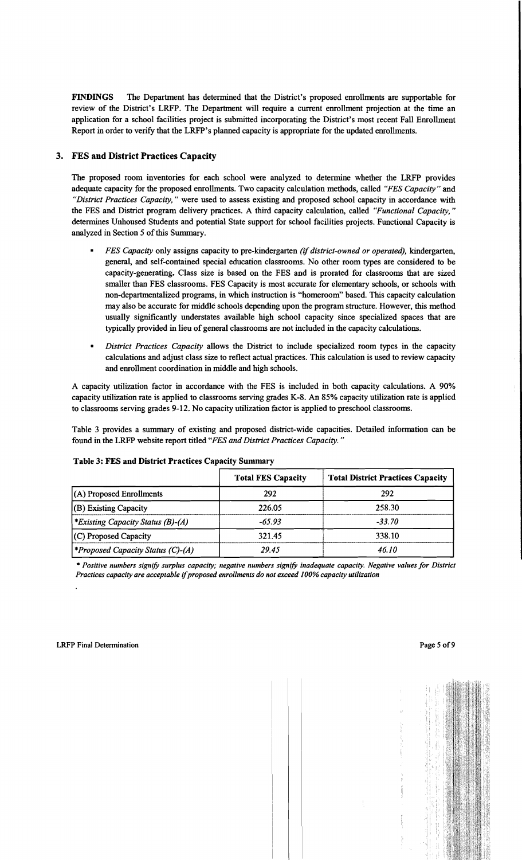FINDINGS The Department has determined that the District's proposed enrollments are supportable for review of the District's LRFP. The Department will require a current enrollment projection at the time an application for a school facilities project is submitted incorporating the District's most recent Fall Enrollment Report in order to verify that the LRFP's planned capacity is appropriate for the updated enrollments.

## 3. FES and District Practices Capacity

The proposed room inventories for each school were analyzed to determine whether the LRFP provides adequate capacity for the proposed enrollments. Two capacity calculation methods, called *"FES Capacity"* and *"District Practices Capacity,"* were used to assess existing and proposed school capacity in accordance with the FES and District program delivery practices. A third capacity calculation, called *"Functional Capacity, "*  determines Unhoused Students and potential State support for school facilities projects. Functional Capacity is analyzed in Section 5 of this Summary.

- *FES Capacity* only assigns capacity to pre-kindergarten *(if district-owned or operated),* kindergarten, general, and self-contained special education classrooms. No other room types are considered to be capacity-generating. Class size is based on the FES and is prorated for classrooms that are sized smaller than FES classrooms. FES Capacity is most accurate for elementary schools, or schools with non-departmentalized programs, in which instruction is "homeroom" based. This capacity calculation may also be accurate for middle schools depending upon the program structure. However, this method usually significantly understates available high school capacity since specialized spaces that are typically provided in lieu of general classrooms are not included in the capacity calculations.
- *District Practices Capacity allows the District to include specialized room types in the capacity* calculations and adjust class size to reflect actual practices. This calculation is used to review capacity and enrollment coordination in middle and high schools.

A capacity utilization factor in accordance with the FES is included in both capacity calculations. A 90% capacity utilization rate is applied to classrooms serving grades K-8. An 85% capacity utilization rate is applied to classrooms serving grades 9-12. No capacity utilization factor is applied to preschool classrooms.

Table 3 provides a summary of existing and proposed district-wide capacities. Detailed information can be found in the LRFP website report titled *"FES and District Practices Capacity. "* 

| <b>Table 3: FES and District Practices Capacity Summary</b> |                           |                                          |  |  |
|-------------------------------------------------------------|---------------------------|------------------------------------------|--|--|
|                                                             | <b>Total FES Capacity</b> | <b>Total District Practices Capacity</b> |  |  |
| $(A)$ Proposed Enrollments                                  | 292                       | 292                                      |  |  |
| (B) Existing Capacity                                       | 226.05                    | 258.30                                   |  |  |
| <i>Existing Capacity Status (B)-(A)</i>                     | $-65.93$                  | $-33.70$                                 |  |  |
| (C) Proposed Capacity                                       | 321.45                    | 338.10                                   |  |  |
| <i><b>*Proposed Capacity Status (C)-(A)</b></i>             | 29.45                     | 46.10                                    |  |  |

#### Table 3: FES and District Practices Capacity Summary

\* *Positive numbers signify surplus capacity; negative numbers signify inadequate capacity. Negative values for District Practices capacity are acceptable* if*proposed enrollments do not exceed 100% capacity utilization*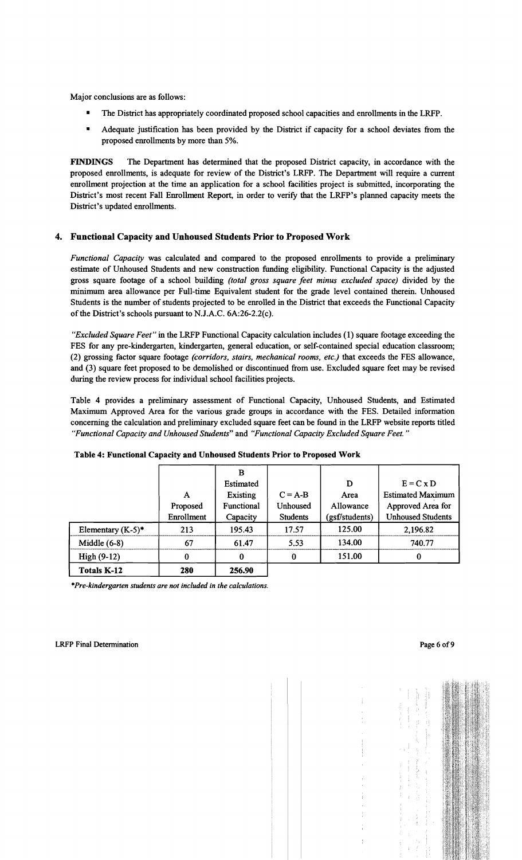- The District has appropriately coordinated proposed school capacities and enrollments in the LRFP.
- Adequate justification has been provided by the District if capacity for a school deviates from the proposed enrollments by more than 5%.

FINDINGS The Department has determined that the proposed District capacity, in accordance with the proposed enrollments, is adequate for review of the District's LRFP. The Department will require a current enrollment projection at the time an application for a school facilities project is submitted, incorporating the District's most recent Fall Enrollment Report, in order to verify that the LRFP's planned capacity meets the District's updated enrollments.

## 4. Functional Capacity and Unhoused Students Prior to Proposed Work

*Functional Capacity* was calculated and compared to the proposed enrollments to provide a preliminary estimate of Unhoused Students and new construction funding eligibility. Functional Capacity is the adjusted gross square footage of a school building *(total gross square feet minus excluded space)* divided by the minimum area allowance per Full-time Equivalent student for the grade level contained therein. Unhoused Students is the number of students projected to be enrolled in the District that exceeds the Functional Capacity of the District's schools pursuant to N.J.A.C.  $6A:26-2.2(c)$ .

*"Excluded Square Feet"* in the LRFP Functional Capacity calculation includes (1) square footage exceeding the FES for any pre-kindergarten, kindergarten, general education, or self-contained special education classroom; (2) grossing factor square footage *(corridors, stairs, mechanical rooms, etc.)* that exceeds the FES allowance, and (3) square feet proposed to be demolished or discontinued from use. Excluded square feet may be revised during the review process for individual school facilities projects.

Table 4 provides a preliminary assessment of Functional Capacity, Unhoused Students, and Estimated Maximum Approved Area for the various grade groups in accordance with the FES. Detailed information concerning the calculation and preliminary excluded square feet can be found in the LRFP website reports titled *"Functional Capacity and Unhoused Students"* and *"Functional Capacity Excluded Square Feet."* 

|                      |            | B          |                 |                |                          |
|----------------------|------------|------------|-----------------|----------------|--------------------------|
|                      |            | Estimated  |                 | D              | $E = C x D$              |
|                      | A          | Existing   | $C = A-B$       | Area           | <b>Estimated Maximum</b> |
|                      | Proposed   | Functional | Unhoused        | Allowance      | Approved Area for        |
|                      | Enrollment | Capacity   | <b>Students</b> | (gsf/students) | <b>Unhoused Students</b> |
| Elementary $(K-5)^*$ | 213        | 195.43     | 17.57           | 125.00         | 2,196.82                 |
| Middle $(6-8)$       | 67         | 61.47      | 5.53            | 134.00         | 740.77                   |
| $High(9-12)$         | $\bf{0}$   | 0          | 0               | 151.00         |                          |
| Totals K-12          | 280        | 256.90     |                 |                |                          |

#### Table 4: Functional Capacity and Unhoused Students Prior to Proposed Work

*\*Pre-kindergarten students are not inCluded in the calculations.*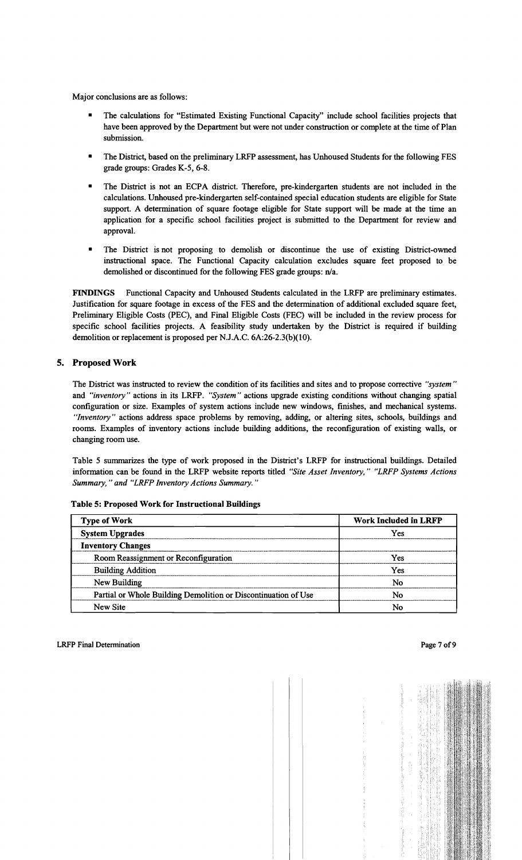- The calculations for "Estimated Existing Functional Capacity" include school facilities projects that have been approved by the Department but were not under construction or complete at the time of Plan submission.
- The District, based on the preliminary LRFP assessment, has Unhoused Students for the following FES grade groups: Grades K-5, 6-8.
- The District is not an ECPA district. Therefore, pre-kindergarten students are not included in the calculations. Unhoused pre-kindergarten self-contained special education students are eligible for State support. A determination of square footage eligible for State support will be made at the time an application for a specific school facilities project is submitted to the Department for review and approval.
- The District is not proposing to demolish or discontinue the use of existing District-owned instructional space. The Functional Capacity calculation excludes square feet proposed to be demolished or discontinued for the following FES grade groups: n/a.

FINDINGS Functional Capacity and Unhoused Students calculated in the LRFP are preliminary estimates. Justification for square footage in excess of the FES and the determination of additional excluded square feet, Preliminary Eligible Costs (PEC), and Final Eligible Costs (FEC) will be included in the review process for specific school facilities projects. A feasibility study undertaken by the District is required if building demolition or replacement is proposed per N.J.A.C. 6A:26-2.3(b)(10).

## 5. Proposed Work

The District was instructed to review the condition of its facilities and sites and to propose corrective *"system"*  and *"inventory"* actions in its LRFP. *"System"* actions upgrade existing conditions without changing spatial configuration or size. Examples of system actions include new windows, finishes, and mechanical systems. *"Inventory"* actions address space problems by removing, adding, or altering sites, schools, buildings and rooms. Examples of inventory actions include building additions, the reconfiguration of existing walls, or changing room use.

Table 5 summarizes the type of work proposed in the District's LRFP for instructional buildings. Detailed information can be found in the LRFP website reports titled *"Site Asset Inventory," "LRFP Systems Actions Summary," and "LRFP Inventory Actions Summary."* 

| <b>Type of Work</b>                                            | <b>Work Included in LRFP</b> |
|----------------------------------------------------------------|------------------------------|
| <b>System Upgrades</b>                                         | Yes                          |
| <b>Inventory Changes</b>                                       |                              |
| Room Reassignment or Reconfiguration                           | Yes                          |
| <b>Building Addition</b>                                       | Yes                          |
| New Building                                                   | No                           |
| Partial or Whole Building Demolition or Discontinuation of Use | Nο                           |
| New Site                                                       | No                           |

Table 5: Proposed Work for Instructional Buildings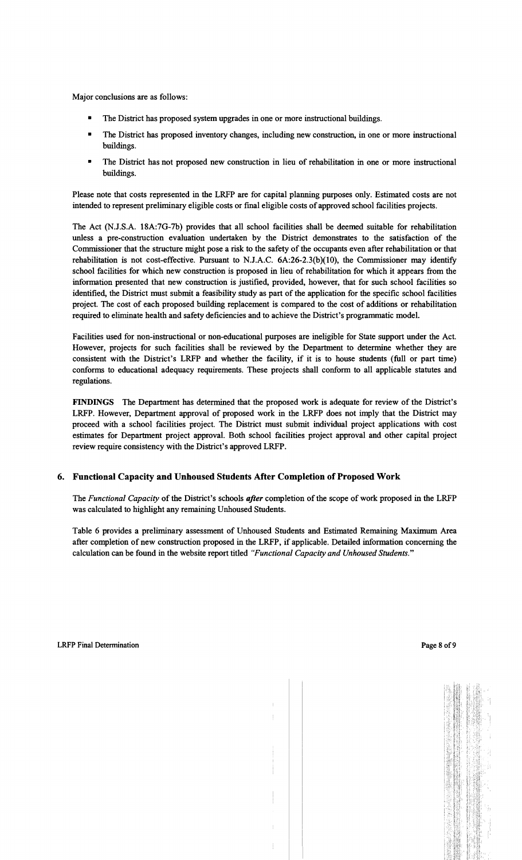- The District has proposed system upgrades in one or more instructional buildings.
- The District has proposed inventory changes, including new construction, in one or more instructional buildings.
- The District has not proposed new construction in lieu of rehabilitation in one or more instructional buildings.

Please note that costs represented in the LRFP are for capital planning purposes only. Estimated costs are not intended to represent preliminary eligible costs or final eligible costs of approved school facilities projects.

The Act (N.J.S.A. 18A:7G-7b) provides that all school facilities shall be deemed suitable for rehabilitation unless a pre-construction evaluation undertaken by the District demonstrates to the satisfaction of the Commissioner that the structure might pose a risk to the safety of the occupants even after rehabilitation or that rehabilitation is not cost-effective. Pursuant to N.J.A.C. 6A:26-2.3(b)(10), the Commissioner may identify school facilities for which new construction is proposed in lieu of rehabilitation for which it appears from the information presented that new construction is justified, provided, however, that for such school facilities so identified, the District must submit a feasibility study as part of the application for the specific school facilities project. The cost of each proposed building replacement is compared to the cost of additions or rehabilitation required to eliminate health and safety deficiencies and to achieve the District's programmatic model.

Facilities used for non-instructional or non-educational purposes are ineligible for State support under the Act. However, projects for such facilities shall be reviewed by the Department to determine whether they are consistent with the District's LRFP and whether the facility, if it is to house students (full or part time) conforms to educational adequacy requirements. These projects shall conform to all applicable statutes and regulations.

FINDINGS The Department has determined that the proposed work is adequate for review of the District's LRFP. However, Department approval of proposed work in the LRFP does not imply that the District may proceed with a school facilities project. The District must submit individual project applications with cost estimates for Department project approval. Both school facilities project approval and other capital project review require consistency with the District's approved LRFP.

## 6. Functional Capacity and Unhoused Students After Completion of Proposed Work

The *Functional Capacity* of the District's schools *after* completion of the scope of work proposed in the LRFP was calculated to highlight any remaining Unhoused Students.

Table 6 provides a preliminary assessment of Unhoused Students and Estimated Remaining Maximum Area after completion of new construction proposed in the LRFP, if applicable. Detailed information concerning the calculation can be found in the website report titled *"Functional Capacity and Unhoused Students."*